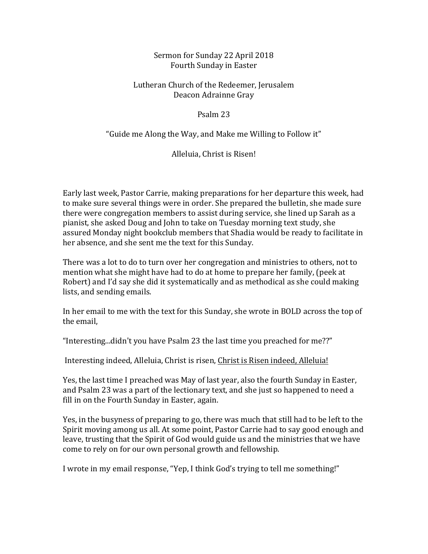### Sermon for Sunday 22 April 2018 Fourth Sunday in Easter

# Lutheran Church of the Redeemer, Jerusalem Deacon Adrainne Gray

#### Psalm 23

# "Guide me Along the Way, and Make me Willing to Follow it"

## Alleluia, Christ is Risen!

Early last week, Pastor Carrie, making preparations for her departure this week, had to make sure several things were in order. She prepared the bulletin, she made sure there were congregation members to assist during service, she lined up Sarah as a pianist, she asked Doug and John to take on Tuesday morning text study, she assured Monday night bookclub members that Shadia would be ready to facilitate in her absence, and she sent me the text for this Sunday.

There was a lot to do to turn over her congregation and ministries to others, not to mention what she might have had to do at home to prepare her family, (peek at Robert) and I'd say she did it systematically and as methodical as she could making lists, and sending emails.

In her email to me with the text for this Sunday, she wrote in BOLD across the top of the email.

"Interesting...didn't you have Psalm 23 the last time you preached for me??"

Interesting indeed, Alleluia, Christ is risen, Christ is Risen indeed, Alleluia!

Yes, the last time I preached was May of last year, also the fourth Sunday in Easter, and Psalm 23 was a part of the lectionary text, and she just so happened to need a fill in on the Fourth Sunday in Easter, again.

Yes, in the busyness of preparing to go, there was much that still had to be left to the Spirit moving among us all. At some point, Pastor Carrie had to say good enough and leave, trusting that the Spirit of God would guide us and the ministries that we have come to rely on for our own personal growth and fellowship.

I wrote in my email response, "Yep, I think God's trying to tell me something!"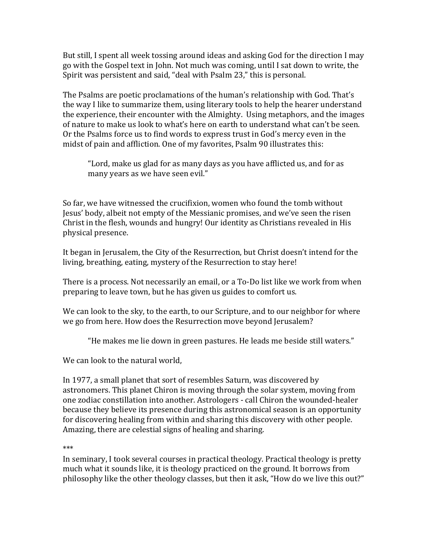But still, I spent all week tossing around ideas and asking God for the direction I may go with the Gospel text in John. Not much was coming, until I sat down to write, the Spirit was persistent and said, "deal with Psalm 23," this is personal.

The Psalms are poetic proclamations of the human's relationship with God. That's the way I like to summarize them, using literary tools to help the hearer understand the experience, their encounter with the Almighty. Using metaphors, and the images of nature to make us look to what's here on earth to understand what can't be seen. Or the Psalms force us to find words to express trust in God's mercy even in the midst of pain and affliction. One of my favorites, Psalm 90 illustrates this:

"Lord, make us glad for as many days as you have afflicted us, and for as many years as we have seen evil."

So far, we have witnessed the crucifixion, women who found the tomb without Jesus' body, albeit not empty of the Messianic promises, and we've seen the risen Christ in the flesh, wounds and hungry! Our identity as Christians revealed in His physical presence. 

It began in Jerusalem, the City of the Resurrection, but Christ doesn't intend for the living, breathing, eating, mystery of the Resurrection to stay here!

There is a process. Not necessarily an email, or a To-Do list like we work from when preparing to leave town, but he has given us guides to comfort us.

We can look to the sky, to the earth, to our Scripture, and to our neighbor for where we go from here. How does the Resurrection move beyond Jerusalem?

"He makes me lie down in green pastures. He leads me beside still waters."

We can look to the natural world,

In 1977, a small planet that sort of resembles Saturn, was discovered by astronomers. This planet Chiron is moving through the solar system, moving from one zodiac constillation into another. Astrologers - call Chiron the wounded-healer because they believe its presence during this astronomical season is an opportunity for discovering healing from within and sharing this discovery with other people. Amazing, there are celestial signs of healing and sharing.

\*\*\*

In seminary, I took several courses in practical theology. Practical theology is pretty much what it sounds like, it is theology practiced on the ground. It borrows from philosophy like the other theology classes, but then it ask, "How do we live this out?"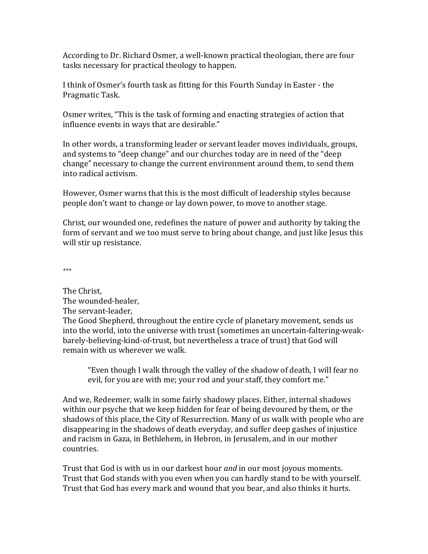According to Dr. Richard Osmer, a well-known practical theologian, there are four tasks necessary for practical theology to happen.

I think of Osmer's fourth task as fitting for this Fourth Sunday in Easter - the Pragmatic Task.

Osmer writes, "This is the task of forming and enacting strategies of action that influence events in ways that are desirable."

In other words, a transforming leader or servant leader moves individuals, groups, and systems to "deep change" and our churches today are in need of the "deep change" necessary to change the current environment around them, to send them into radical activism. 

However, Osmer warns that this is the most difficult of leadership styles because people don't want to change or lay down power, to move to another stage.

Christ, our wounded one, redefines the nature of power and authority by taking the form of servant and we too must serve to bring about change, and just like Jesus this will stir up resistance.

*\*\*\**

The Christ. The wounded-healer, The servant-leader, The Good Shepherd, throughout the entire cycle of planetary movement, sends us into the world, into the universe with trust (sometimes an uncertain-faltering-weakbarely-believing-kind-of-trust, but nevertheless a trace of trust) that God will remain with us wherever we walk.

"Even though I walk through the valley of the shadow of death, I will fear no evil, for you are with me; your rod and your staff, they comfort me."

And we, Redeemer, walk in some fairly shadowy places. Either, internal shadows within our psyche that we keep hidden for fear of being devoured by them, or the shadows of this place, the City of Resurrection. Many of us walk with people who are disappearing in the shadows of death everyday, and suffer deep gashes of injustice and racism in Gaza, in Bethlehem, in Hebron, in Jerusalem, and in our mother countries. 

Trust that God is with us in our darkest hour *and* in our most joyous moments. Trust that God stands with you even when you can hardly stand to be with yourself. Trust that God has every mark and wound that you bear, and also thinks it hurts.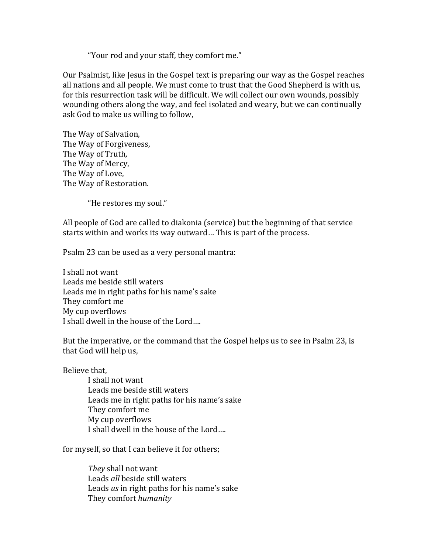"Your rod and your staff, they comfort me."

Our Psalmist, like Jesus in the Gospel text is preparing our way as the Gospel reaches all nations and all people. We must come to trust that the Good Shepherd is with us, for this resurrection task will be difficult. We will collect our own wounds, possibly wounding others along the way, and feel isolated and weary, but we can continually ask God to make us willing to follow,

The Way of Salvation, The Way of Forgiveness, The Way of Truth, The Way of Mercy, The Way of Love, The Way of Restoration.

"He restores my soul."

All people of God are called to diakonia (service) but the beginning of that service starts within and works its way outward... This is part of the process.

Psalm 23 can be used as a very personal mantra:

I shall not want Leads me beside still waters Leads me in right paths for his name's sake They comfort me My cup overflows I shall dwell in the house of the Lord....

But the imperative, or the command that the Gospel helps us to see in Psalm 23, is that God will help us,

Believe that,

I shall not want Leads me beside still waters Leads me in right paths for his name's sake They comfort me My cup overflows I shall dwell in the house of the Lord....

for myself, so that I can believe it for others;

They shall not want Leads *all* beside still waters Leads *us* in right paths for his name's sake They comfort *humanity*